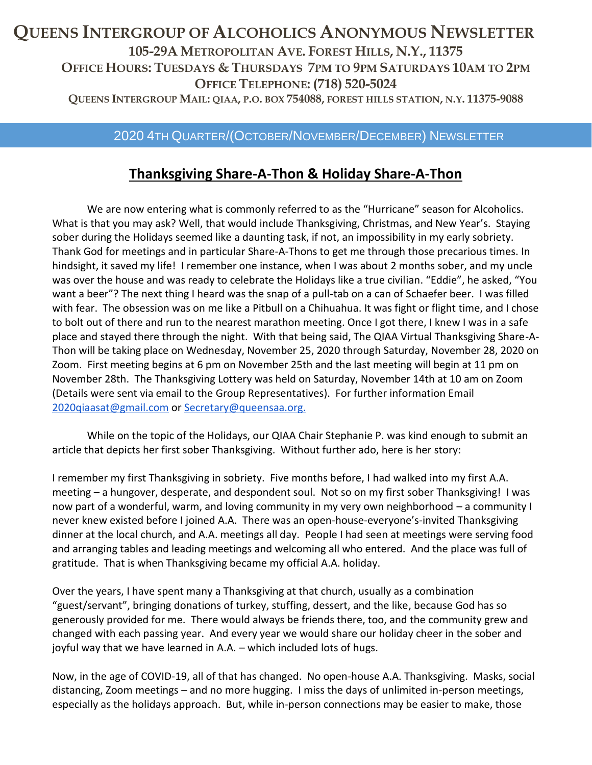## **QUEENS INTERGROUP OF ALCOHOLICS ANONYMOUS NEWSLETTER 105-29A METROPOLITAN AVE. FOREST HILLS, N.Y., 11375 OFFICE HOURS: TUESDAYS & THURSDAYS 7PM TO 9PM SATURDAYS 10AM TO 2PM OFFICE TELEPHONE: (718) 520-5024** QUEENS INTERGROUP MAIL: QIAA, P.O. BOX 754088, FOREST HILLS STATION, N.Y. 11375-9088

### 2020 4TH QUARTER/(OCTOBER/NOVEMBER/DECEMBER) NEWSLETTER

## **Thanksgiving Share-A-Thon & Holiday Share-A-Thon**

We are now entering what is commonly referred to as the "Hurricane" season for Alcoholics. What is that you may ask? Well, that would include Thanksgiving, Christmas, and New Year's. Staying sober during the Holidays seemed like a daunting task, if not, an impossibility in my early sobriety. Thank God for meetings and in particular Share-A-Thons to get me through those precarious times. In hindsight, it saved my life! I remember one instance, when I was about 2 months sober, and my uncle was over the house and was ready to celebrate the Holidays like a true civilian. "Eddie", he asked, "You want a beer"? The next thing I heard was the snap of a pull-tab on a can of Schaefer beer. I was filled with fear. The obsession was on me like a Pitbull on a Chihuahua. It was fight or flight time, and I chose to bolt out of there and run to the nearest marathon meeting. Once I got there, I knew I was in a safe place and stayed there through the night. With that being said, The QIAA Virtual Thanksgiving Share-A-Thon will be taking place on Wednesday, November 25, 2020 through Saturday, November 28, 2020 on Zoom. First meeting begins at 6 pm on November 25th and the last meeting will begin at 11 pm on November 28th. The Thanksgiving Lottery was held on Saturday, November 14th at 10 am on Zoom (Details were sent via email to the Group Representatives). For further information Email [2020qiaasat@gmail.com](mailto:2020QIAASAT@gmail.com) or [Secretary@queensaa.org.](mailto:Secretary@queensaa.org)

While on the topic of the Holidays, our QIAA Chair Stephanie P. was kind enough to submit an article that depicts her first sober Thanksgiving. Without further ado, here is her story:

I remember my first Thanksgiving in sobriety. Five months before, I had walked into my first A.A. meeting – a hungover, desperate, and despondent soul. Not so on my first sober Thanksgiving! I was now part of a wonderful, warm, and loving community in my very own neighborhood – a community I never knew existed before I joined A.A. There was an open-house-everyone's-invited Thanksgiving dinner at the local church, and A.A. meetings all day. People I had seen at meetings were serving food and arranging tables and leading meetings and welcoming all who entered. And the place was full of gratitude. That is when Thanksgiving became my official A.A. holiday.

Over the years, I have spent many a Thanksgiving at that church, usually as a combination "guest/servant", bringing donations of turkey, stuffing, dessert, and the like, because God has so generously provided for me. There would always be friends there, too, and the community grew and changed with each passing year. And every year we would share our holiday cheer in the sober and joyful way that we have learned in A.A. – which included lots of hugs.

Now, in the age of COVID-19, all of that has changed. No open-house A.A. Thanksgiving. Masks, social distancing, Zoom meetings – and no more hugging. I miss the days of unlimited in-person meetings, especially as the holidays approach. But, while in-person connections may be easier to make, those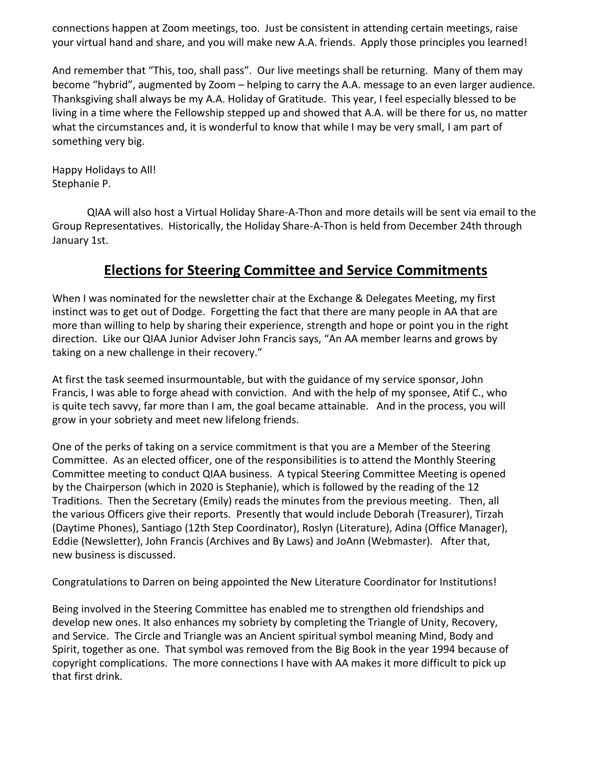connections happen at Zoom meetings, too. Just be consistent in attending certain meetings, raise your virtual hand and share, and you will make new A.A. friends. Apply those principles you learned!

And remember that "This, too, shall pass". Our live meetings shall be returning. Many of them may become "hybrid", augmented by Zoom – helping to carry the A.A. message to an even larger audience. Thanksgiving shall always be my A.A. Holiday of Gratitude. This year, I feel especially blessed to be living in a time where the Fellowship stepped up and showed that A.A. will be there for us, no matter what the circumstances and, it is wonderful to know that while I may be very small, I am part of something very big.

Happy Holidays to All! Stephanie P.

QIAA will also host a Virtual Holiday Share-A-Thon and more details will be sent via email to the Group Representatives. Historically, the Holiday Share-A-Thon is held from December 24th through January 1st.

## **Elections for Steering Committee and Service Commitments**

When I was nominated for the newsletter chair at the Exchange & Delegates Meeting, my first instinct was to get out of Dodge. Forgetting the fact that there are many people in AA that are more than willing to help by sharing their experience, strength and hope or point you in the right direction. Like our QIAA Junior Adviser John Francis says, "An AA member learns and grows by taking on a new challenge in their recovery."

At first the task seemed insurmountable, but with the guidance of my service sponsor, John Francis, I was able to forge ahead with conviction. And with the help of my sponsee, Atif C., who is quite tech savvy, far more than I am, the goal became attainable. And in the process, you will grow in your sobriety and meet new lifelong friends.

One of the perks of taking on a service commitment is that you are a Member of the Steering Committee. As an elected officer, one of the responsibilities is to attend the Monthly Steering Committee meeting to conduct QIAA business. A typical Steering Committee Meeting is opened by the Chairperson (which in 2020 is Stephanie), which is followed by the reading of the 12 Traditions. Then the Secretary (Emily) reads the minutes from the previous meeting. Then, all the various Officers give their reports. Presently that would include Deborah (Treasurer), Tirzah (Daytime Phones), Santiago (12th Step Coordinator), Roslyn (Literature), Adina (Office Manager), Eddie (Newsletter), John Francis (Archives and By Laws) and JoAnn (Webmaster). After that, new business is discussed.

Congratulations to Darren on being appointed the New Literature Coordinator for Institutions!

Being involved in the Steering Committee has enabled me to strengthen old friendships and develop new ones. It also enhances my sobriety by completing the Triangle of Unity, Recovery, and Service. The Circle and Triangle was an Ancient spiritual symbol meaning Mind, Body and Spirit, together as one. That symbol was removed from the Big Book in the year 1994 because of copyright complications. The more connections I have with AA makes it more difficult to pick up that first drink.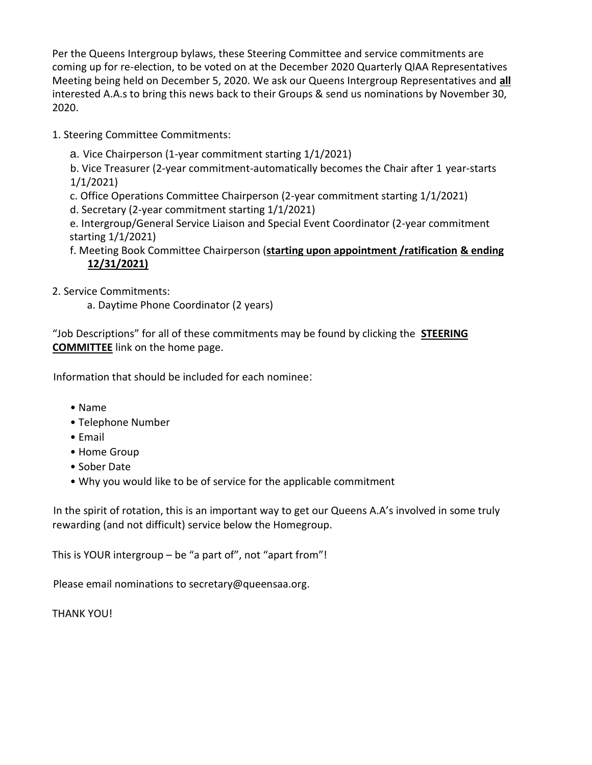Per the Queens Intergroup bylaws, these Steering Committee and service commitments are coming up for re-election, to be voted on at the December 2020 Quarterly QIAA Representatives Meeting being held on December 5, 2020. We ask our Queens Intergroup Representatives and **all** interested A.A.s to bring this news back to their Groups & send us nominations by November 30, 2020.

1. Steering Committee Commitments:

a. Vice Chairperson (1-year commitment starting 1/1/2021)

b. Vice Treasurer (2-year commitment-automatically becomes the Chair after 1 year-starts 1/1/2021)

c. Office Operations Committee Chairperson (2-year commitment starting 1/1/2021)

d. Secretary (2-year commitment starting 1/1/2021)

e. Intergroup/General Service Liaison and Special Event Coordinator (2-year commitment starting 1/1/2021)

#### f. Meeting Book Committee Chairperson (**starting upon appointment /ratification & ending 12/31/2021)**

2. Service Commitments:

a. Daytime Phone Coordinator (2 years)

"Job Descriptions" for all of these commitments may be found by clicking the **STEERING COMMITTEE** link on the home page.

Information that should be included for each nominee:

- Name
- Telephone Number
- Email
- Home Group
- Sober Date
- Why you would like to be of service for the applicable commitment

In the spirit of rotation, this is an important way to get our Queens A.A's involved in some truly rewarding (and not difficult) service below the Homegroup.

This is YOUR intergroup – be "a part of", not "apart from"!

Please email nominations to secretary@queensaa.org.

THANK YOU!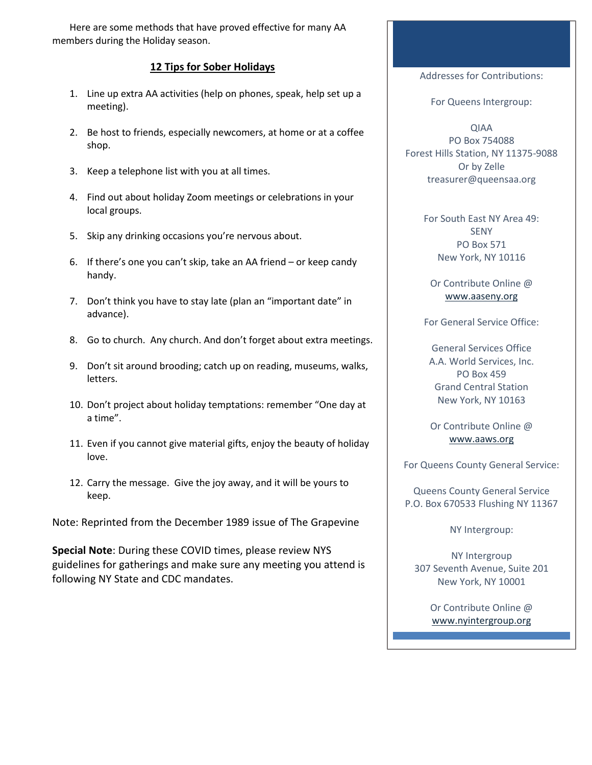Here are some methods that have proved effective for many AA members during the Holiday season.

#### **12 Tips for Sober Holidays**

- 1. Line up extra AA activities (help on phones, speak, help set up a meeting).
- 2. Be host to friends, especially newcomers, at home or at a coffee shop.
- 3. Keep a telephone list with you at all times.
- 4. Find out about holiday Zoom meetings or celebrations in your local groups.
- 5. Skip any drinking occasions you're nervous about.
- 6. If there's one you can't skip, take an AA friend or keep candy handy.
- 7. Don't think you have to stay late (plan an "important date" in advance).
- 8. Go to church. Any church. And don't forget about extra meetings.
- 9. Don't sit around brooding; catch up on reading, museums, walks, letters.
- 10. Don't project about holiday temptations: remember "One day at a time".
- 11. Even if you cannot give material gifts, enjoy the beauty of holiday love.
- 12. Carry the message. Give the joy away, and it will be yours to keep.

Note: Reprinted from the December 1989 issue of The Grapevine

**Special Note**: During these COVID times, please review NYS guidelines for gatherings and make sure any meeting you attend is following NY State and CDC mandates.

Addresses for Contributions:

For Queens Intergroup:

QIAA PO Box 754088 Forest Hills Station, NY 11375-9088 Or by Zelle treasurer@queensaa.org

> For South East NY Area 49: SENY PO Box 571 New York, NY 10116

Or Contribute Online @ www.aaseny.org

For General Service Office:

General Services Office A.A. World Services, Inc. PO Box 459 Grand Central Station New York, NY 10163

Or Contribute Online @ www.aaws.org

For Queens County General Service:

Queens County General Service P.O. Box 670533 Flushing NY 11367

NY Intergroup:

NY Intergroup 307 Seventh Avenue, Suite 201 New York, NY 10001

> Or Contribute Online @ www.nyintergroup.org